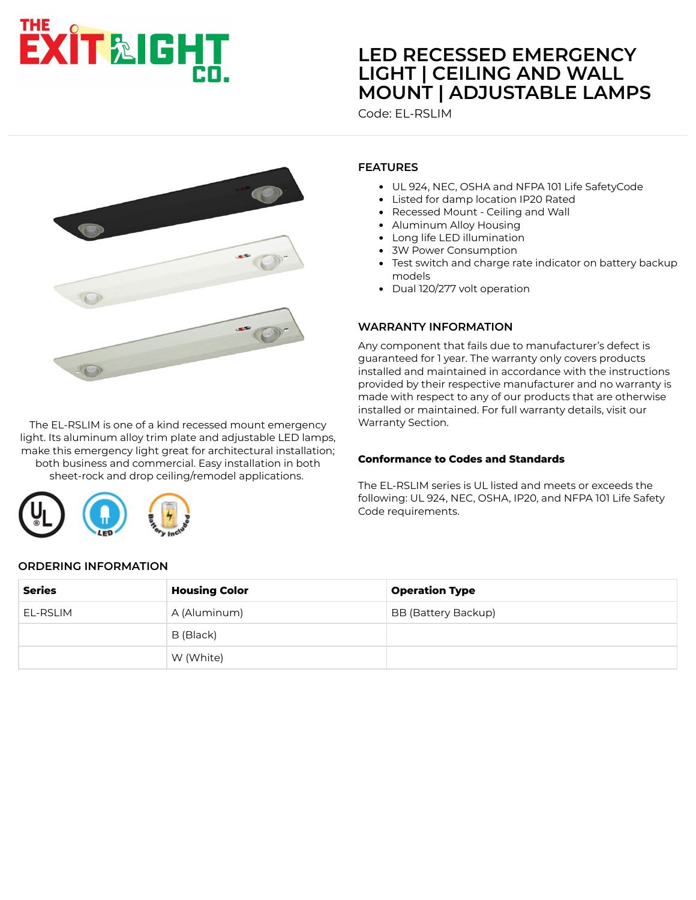# EXIT&IGHT

# **LED RECESSED EMERGENCY LIGHT | CEILING AND WALL [MOUNT | ADJUSTABLE LAMPS](https://www.exitlightco.com/product/EL-RLSIM.html)**

Code: EL-RSLIM



The EL-RSLIM is one of a kind recessed mount emergency light. Its aluminum alloy trim plate and adjustable LED lamps, make this emergency light great for architectural installation; both business and commercial. Easy installation in both sheet-rock and drop ceiling/remodel applications.



## **FEATURES**

- UL 924, NEC, OSHA and NFPA 101 Life SafetyCode
- Listed for damp location IP20 Rated
- $\bullet$ Recessed Mount - Ceiling and Wall
- Aluminum Alloy Housing
- Long life LED illumination
- 3W Power Consumption
- Test switch and charge rate indicator on battery backup models
- Dual 120/277 volt operation

#### **WARRANTY INFORMATION**

Any component that fails due to manufacturer's defect is guaranteed for 1 year. The warranty only covers products installed and maintained in accordance with the instructions provided by their respective manufacturer and no warranty is made with respect to any of our products that are otherwise installed or maintained. For full warranty details, visit our Warranty Section.

#### **Conformance to Codes and Standards**

The EL-RSLIM series is UL listed and meets or exceeds the following: UL 924, NEC, OSHA, IP20, and NFPA 101 Life Safety Code requirements.

#### **ORDERING INFORMATION**

| <b>Series</b> | <b>Housing Color</b> | <b>Operation Type</b>      |
|---------------|----------------------|----------------------------|
| EL-RSLIM      | A (Aluminum)         | <b>BB (Battery Backup)</b> |
|               | B (Black)            |                            |
|               | W (White)            |                            |